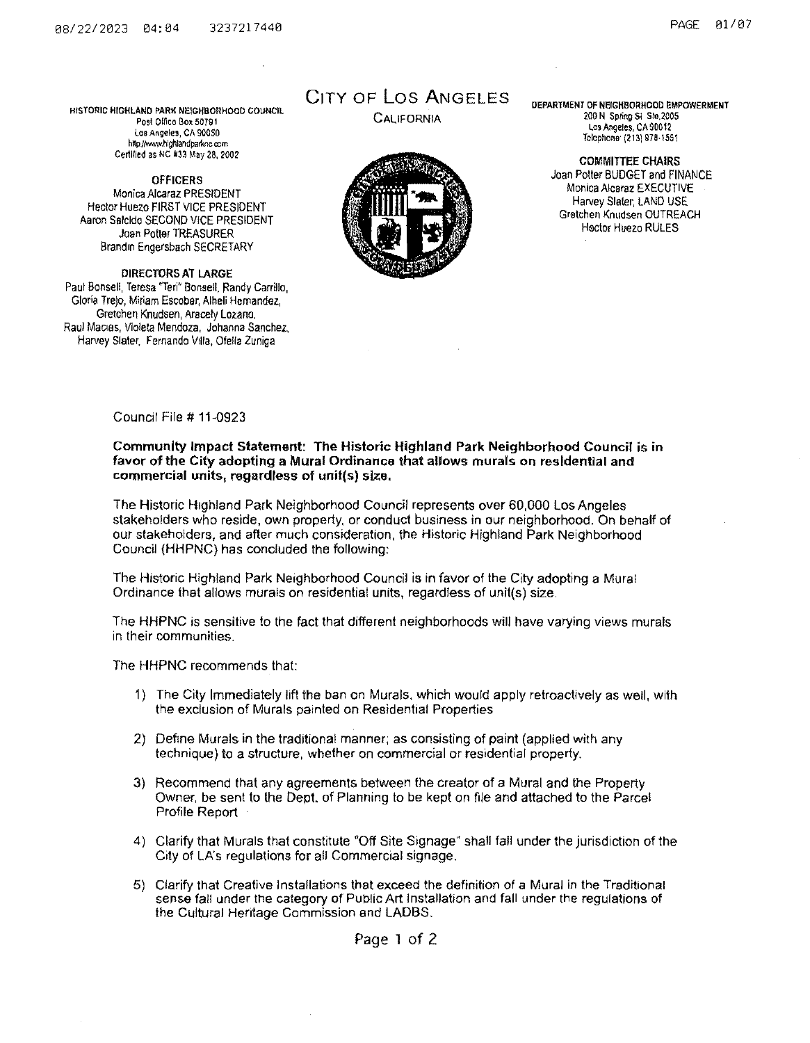HISTORIC HIGHLAND PARK NElCHBORHOOD COUNCil **Post Office Box 50791** CALIFORNIA loa Angeles, CA 90050 hHp.//W<Vvv.hlgh!andparknc oom Certified as NC #33 May 28, 2002

**OFFICERS** Monica Alcaraz PRESIDENT Hector Huezo FIRST VICE PRESIDENT Aaron Salcido SECOND VICE PRESIDENT Joan Potter TREASURER Brandin Engersbach SECRETARY

DIRECTORS AT LARGE Paul Bonsell, Teresa 'Teri" Bonsell, Randy Carrillo, Gloria Trejo, Miriam Escobar, Alheli Hernandez, Gretchen Knudsen, Aracely Lozano. Raul Mactes, Vloieta Mendoza. Johanna Sanchez, Harvey Slater, Fernando Villa, Ofelia Zuniga

# CiTY OF Los ANGELES



DEPARTMENT OF NEIGHBORHOOD EMPOWERMENT 200 N Spring Sl Ste.2005 Los Angeles, CA 90012 Telephone· (213) 978·1551

COMMITTEE CHAIRS Joan Potter BUDGET and FINANCE Monica Alcaraz EXECUTIVE Harvey Slater, LAND USE Gretchen Knudsen OUTREACH Hector Huezo RULES

Council File# 11-0923

## Community Impact Statement: The Historic Highland Park Neighborhood Council is in favor of the City adopting a Mural Ordinance that allows murals on residential and commercial units, regardless of unit(s) size,

The Historic Htghland Park Neighborhood Council represents over 60,000 Los Angeles stakeholders who reside, own property, or conduct business in our neighborhood. On behalf of our stakeholders, and after much consideration, the Historic Highland Park Neighborhood Council (HHPNC) has concluded the following:

The Historic Highland Park Neighborhood Council is in favor of the City adopting a Mural Ordinance that allows murals on residential units, regardless of unit(s) size.

The HHPNC is sensitive to the fact that differenl neighborhoods will have varying views murals in their communities.

The HHPNC recommends that:

- 1) The City Immediately lift the ban on Murals, which would apply retroactively as well, with the exclusion of Murals painted on Residential Properties
- 2) Define Murals in the traditional manner; as consisting of paint (applied with any technique) to a structure, whether on commercial or residential property.
- 3) Recommend that any agreements between the creator of a Mural and the Property Owner, be sent to the Dept. of Planning to be kept *on* file and attached to the Parcel Profile Report
- 4) Clarify that Murals that constitute "Off Site Signage" shall fall under the jurisdiction of the City of LA's regulations for all Commercial signage.
- 5) Clarify that Creative Installations that exceed the definition of a Mural in the Traditional sense fall under the category of Public Art Installation and fall under the regulations of the Cultural Hentage Commission and LADBS.

Page 1 of 2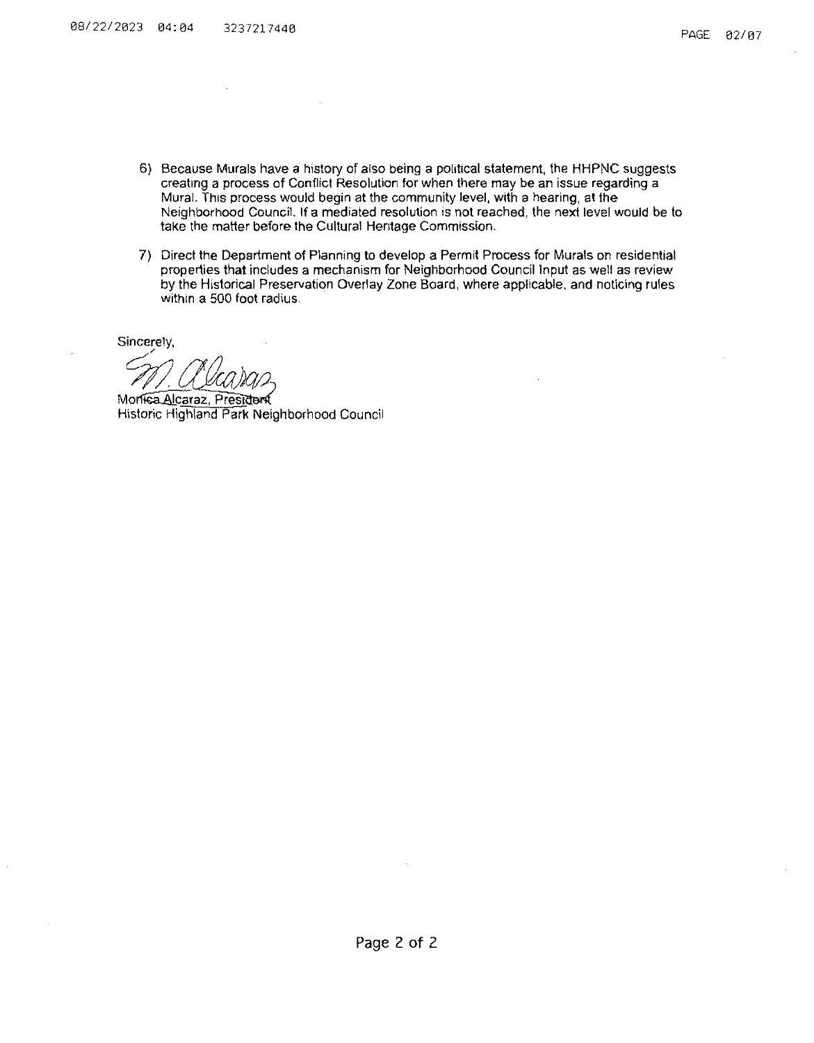- 6) Because Murals have a history of also being a political statement, the HHPNC suggests creatmg a process of Conflict Resolution for when there may be an issue regarding a Mural. This process would begin at the community level, with a hearing, at the Neighborhood Council. If a mediated resolution •s not reached, the next level would be to take the matter before the Cultural Hentage Commission.
- 7) Direct the Department of Planning to develop a Permit Process for Murals on residential properties that includes a mechanism for Neighborhood Council Input as well as review by the Historical Preservation Overlay Zone Board, where applicable. and noticing rules within a 500 foot radius.

Sincerely,

Monisa Alcaraz, President<br>Historic Highland Park Neighborhood Council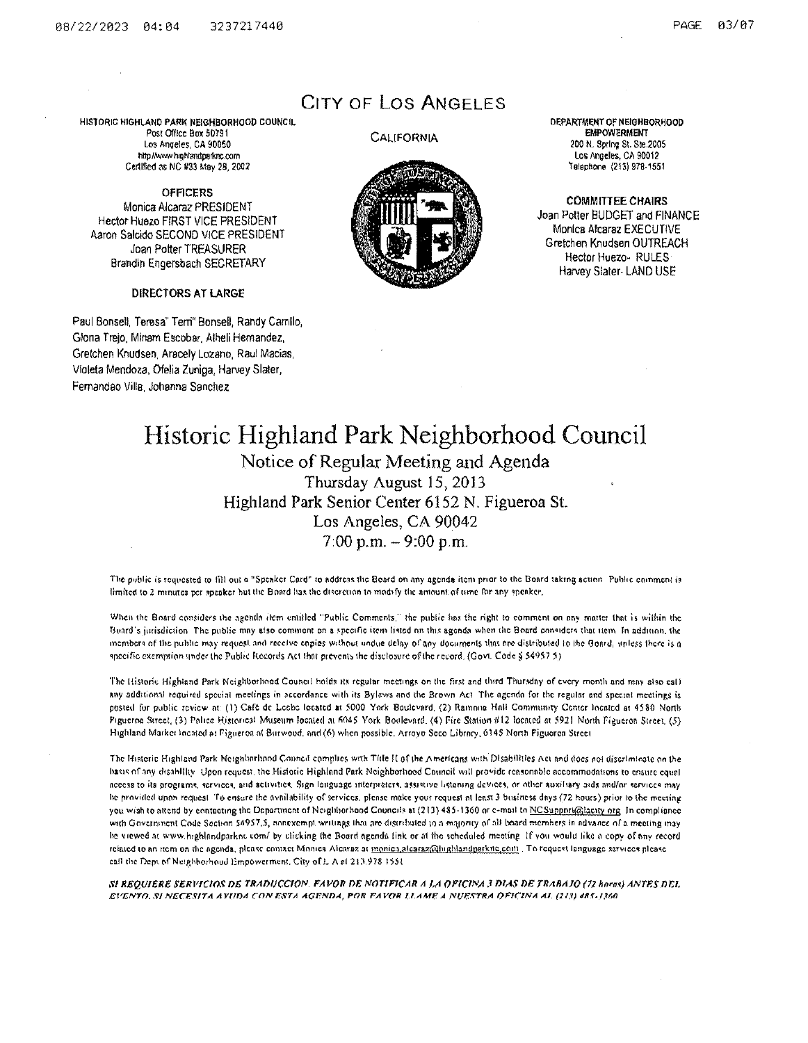HISTORIC HIGHLAND PARK NEIGHBORHOOD COUNCIL Post Office Box 50791 Los Anqeles, CA 90050 http://www.highlandparknc.com Certified as NC #33 May 28, 2002

OFFICERS Monica Alcaraz PRESIDENT Hector Huezo FIRST VICE PRESIDENT Aaron Salcido SECOND VICE PRESIDENT Joan Potter TREASURER Brandln Engersbach SECRETARY

DIRECTORS AT lARGE

Paul Bonsell, Teresa" Tern" Bonsell, Randy Camllo, Glona Trejo, Minam Escobar, Alheli Hernandez, Gretchen Knudsen, Araoely Lozano, Raul Macias, Violeta Mendoza, Ofelia Zuniga, Harvey Slater, Femandao Villa, Johanna Sanchez

# CITY OF los ANGELES

#### **CALIFORNIA**



DEPARTMENT OF NEIGHBORHOOD EMPOWERMENT 200 N. Spring St. Ste.2005 Los Angeles, CA 90012 'relephone (213)978-1551

COMMITTEE CHAIRS Joan Potter BUDGET and FINANCE Monica Alcaraz EXECUTIVE Gretchen Knudsen OUTREACH Hector Huezo- RULES Harvey Slater- LAND USE

# Historic Highland Park Neighborhood Council Notice of Regular Meeting and Agenda Thursday August 15, 2013 Highland Park Senior Center 6152 N. Figueroa St. Los Angeles, CA 90042  $7:00$  p.m.  $-9:00$  p.m.

The public is requested to fill out a "Spenker Card" to address the Board on any agenda item prior to the Board taking action. Public comment is limited to 2 minutes per speaker hut the Board has the discretion to modify the amount of time for any speaker.

When the Bnard considers the agenda item entitled "Public Comments," the public has the right to comment on any matter that is within the Buard's jurisdiction The public may also comment on a specific item listed on this agenda when the Board considers that item In addition, the members of the public may request and receive copies without undue delay of any documents that tre distributed to the Board, unless there is a specific exemption under the Public Records Act that prevents the disclosure of the record. (Govt. Code § 54957 5)

The Historic Highland Park Neighborhood Council holds its regular meetings on the first and third Thursday of every month and may also call any additional required special meetings in accordance with its Bylaws and the Brown Act. The agenda for the regular and special meetings is posted for public review at: (1) Café de Leche located at 5000 York Boulevard. (2) Ramona Hall Community Center located at 4580 North Pigueroa Street, (3) Police Historical Museum Iocated at 6045 York Boulevard. (4) Fire Station #12 located at 5921 North Figueron Street, (5) Highland Market lncated at Figueron of Burwood, and (6) when possible. Arroyo Scco Librnry, 6145 Nonh Figueron Street

The Historic Highland Park Neighborbood Connel complies with Title H of the Americans with Disabilities Act and docs not discriminate on the hasis of any disability. Upon request, the Historic Highland Park Neighborhood Council will provide reasonable accommodations to ensure equal occess to ita programs, services, and activities. Sign language interpreters, assistive listening devices, or other auxiliary aids and/or services may he provided upon request. To ensure the avnilability of services, plense make your request at least 3 business days (72 hours) prior to the meeting you wish to attend by contacting the Department of Neighborhood Councils at (213) 485-1360 or c-mail to NCSupport@lacity org. In compliance with Government Code Section 54957.5, nonexempt writings that are distributed to a majority of all board members in advance of a meeting may he viewed at www.highlandparkne com/ by clicking the Board agenda link or at the seheduled meeting. If you would like a copy of any record rciated to an item on the agenda, plcnse contact Monica Alcaraz at monica alcaraz@Inghlandparkne.com . To request language services please call the Dept of Neighborhoud Empowerment, City of L A of 213.978 1551

SI REQUIERE SERVICIOS DE TRADUCCION. FAVOR DE NOTIFICAR A *I,A OFICINA 3 DIAS DE TRABAJO (72 horas) ANTES DEL EVENTO .* . W *NEC'P.!i'TTA AYrmA* ({)N *F.ST.A AGF.NT>A, POR PAVOR U.AM8 A .NU"f:.#.;TR!l f)PT('INA AI.* (21.~) Jlt.f./,?1.(1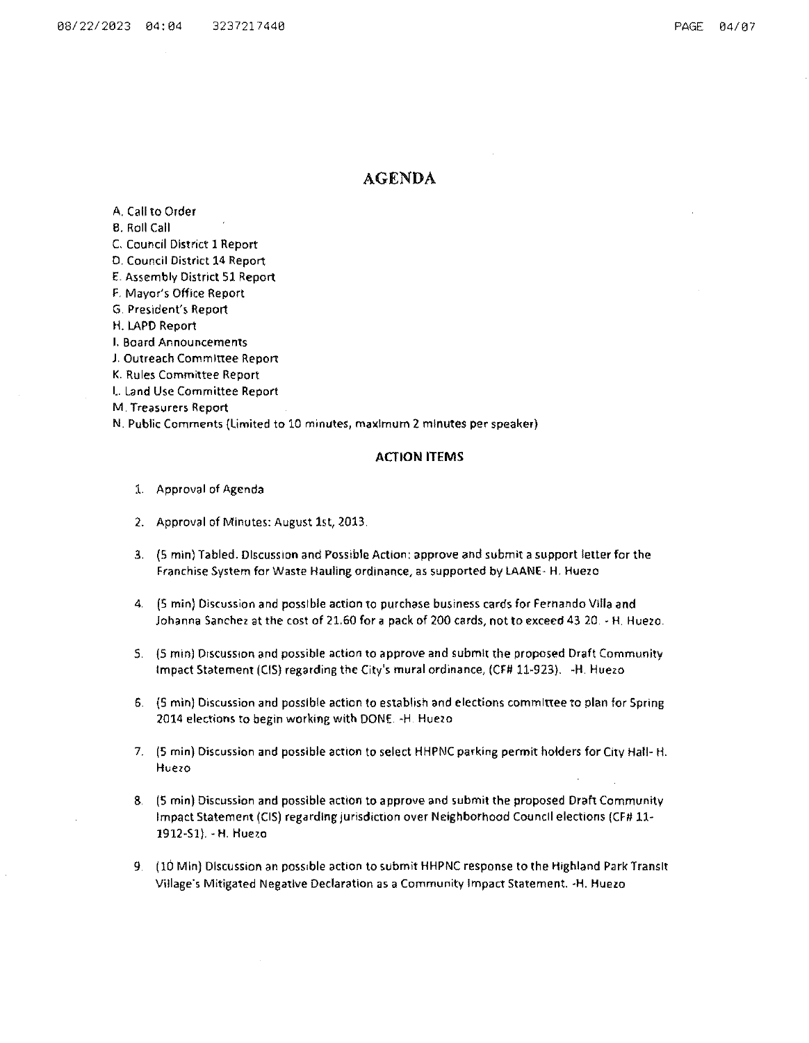# AGENDA

A. Call to Order

B. Roll Call

C. Council District **1** Report

D. Council District 14 Report

E. Assembly District 51 Report

F. Mayor's Office Report

G. President's Report

H. LAPD Report

**I. Board Announcements** 

J. Outreach Committee Report

K. Rules Committee Report

1.. Land Use Committee Report

**M.** Tre.;;~surers **Report** 

N. Public Comments (Limited to 10 minutes, maximum 2 minutes per speaker)

### **ACTION ITEMS**

- 1. Approval of Agenda
- 2. Approval of Minutes: August 1st, 2013
- 3. (5 min) Tabled. DiscussiOn and Possible Action: approve and submit a support letter for the Franchise System for Waste Hauling ordinance, as supported by lAANE- H. Huezo
- 4. (5 min) Discussion and possible action to purchase business cards for Fernando Villa and Johanna Sanchez at the cost of 21.60 for a pack of 200 cards, not to exceed 43 20. - H. Huezo.
- S. (5 min) Discussion and possible action to approve and submit the proposed Draft Community Impact Statement (CIS) regarding the City's mural ordinance, (CF# 11-923). -H. Huezo
- *6* (5 min) Discussion and possible action to establish and elections committee to plan for Spring 2014 elections to begin working with DONE. - H. Huezo
- 7. (5 min) Discussion and possible action to select HHPNC parking permit holders for City Hall· H. **Huezo**
- &. (5 min) Discussion and possible action to approve and submit the proposed Draft Community Impact Statement (CIS) regarding jurisdiction over Neighborhood Council elections (CF# 11- 1912-S1). - H. Huezo
- 9. (10 Min) Discussion an posSible action to submit HHPNC response to the Highland Park Transit Village·s Mitigated Negative Declaration as a Community Impact Statement. -H. Huezo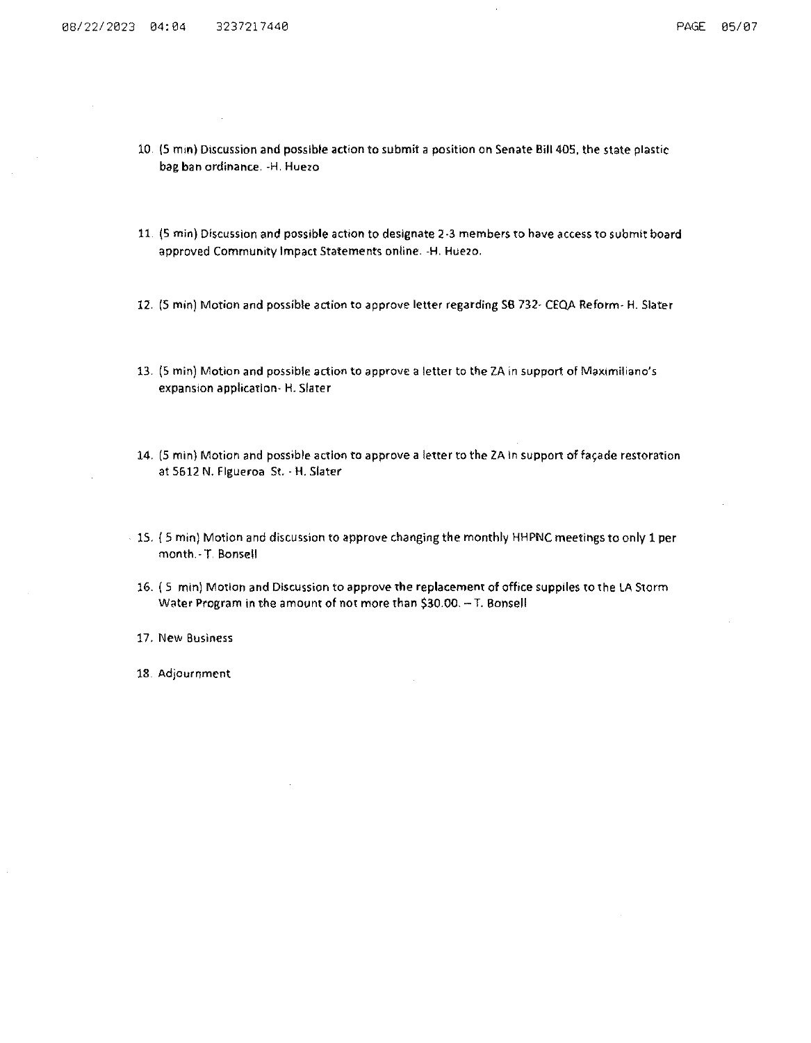- 10 (5 mm) Discussion and possible action to submit a position on Senate Bill405, the state plastic bag ban ordinance. -H. Huezo
- 11 (5 min) Discussion and possible action to designate 2-3 members to have access to submit board approved Community Impact Statements online. -H. Hue2o.
- 12. (5 min) Motion and possible action to approve letter regarding SB 732- CEQA Reform- H. Slater
- 13. (5 min) Motion and possible action to approve a letter to the ZA in support of Maximiliano's expansion application- H. Slater
- 14. (5 min) Motion and possible action to approve a letter to the ZA in support of façade restoration at 5612 N. Figueroa St.- H. Slater
- 15. ( 5 min) Motion and discussion to approve changing the monthly HHPNC meetings to only 1 per month -T Bonsell
- 16. ( 5 mm) Motion and Discussion to approve the replacement of office supplies to the LA Storm Water Program in the amount of not more than \$30.00.-T. Bonsell
- 17. New Business
- 18. Adjournment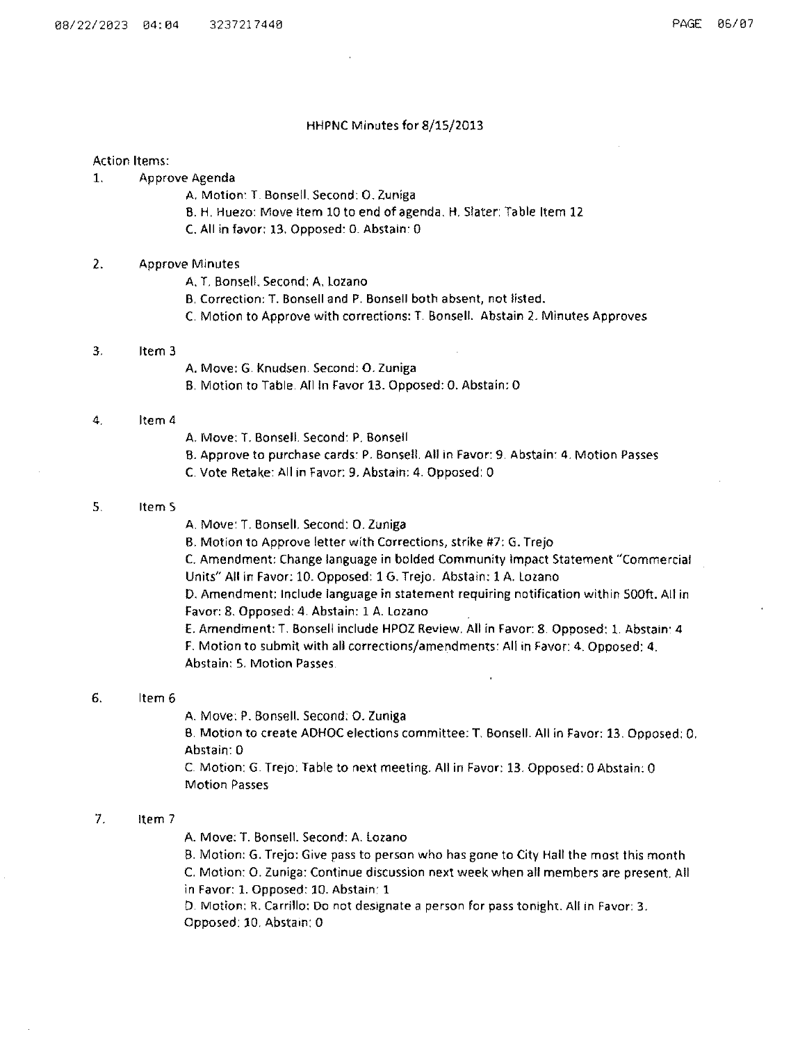#### HHPNC Minutes for 8/15/2013

#### Action Items:

- 1. Approve Agenda
	- A. Motion: T. Bonsell. Second: 0. Zuniga
	- B. H. Huezo: Move Item 10 to end of agenda. H. Slater: Table Item 12
	- c. All in favor: 13. Opposed: o. Abstain: 0

## 2. Approve Minutes

- A. T. Bonsell. Second: A. Lozano
- B. Correction: T. Bonsell and P. Bonsell both absent, not listed.
- C. Motion to Approve with corrections: T. Bonsell. Abstain 2. Minutes Approves

#### 3. Item 3

- A. Move: G. Knudsen. Second: 0. Zuniga
- B. Motion to Table. Allin Favor 13. Opposed: 0. Abstain: 0

### 4. Item 4

- A. Move: T. Bonsell. Second: P. Bonsell
- B. Approve to purchase cards: P. Bonsell. All in Favor: 9. Abstain: 4. Motion Passes
- C. Vote Retake: All in Favor: 9. Abstain: 4. Opposed: 0

### 5. Item 5

A. Move: T. Bonsell. Second: 0. Zuniga

B. Motion to Approve letter with Corrections, strike #7: G. Trejo

C. Amendment: Change language in bolded Community Impact Statement "Commercial Units" All in Favor: 10. Opposed: 1 G. Trejo. Abstain: 1 A. Lozano

D. Amendment: Include language in statement requiring notification within 500ft. All in Favor: 8. Opposed: 4. Abstain: 1 A. Lozano

E. Amendment: T. Bon sell include HPOZ Review. All in Favor: 8. Opposed: 1. Abstain: 4 F. Motion to submit with all corrections/amendments: All in Favor: 4. Opposed: 4. Abstain: 5. Motion Passes.

## 6. Item 6

A. Move: P. Bonsell. Second: o. Zuniga

B. Motion to create ADHOC elections committee: T. Bonsell. All in Favor: 13. Opposed: 0. Abstain: 0

C. Motion: G. TreJo: Table to next meeting. All in Favor: 13. Opposed: 0 Abstain: 0 Motion Passes

# 7. Item 7

A. Move: T. Bonsell. Second: A. Lozano

B. Motion: G. Trejo: Give pass to person who has gone to City Hall the most this month C. Motion: 0. Zuniga: Continue discussion next week when all members are present. All in Favor: 1. Opposed: 10. Abstain: 1

D. Motion: R. Carrillo: Do not designate a person for pass tonight. All in Favor: 3. Opposed: 10. Abstain: 0